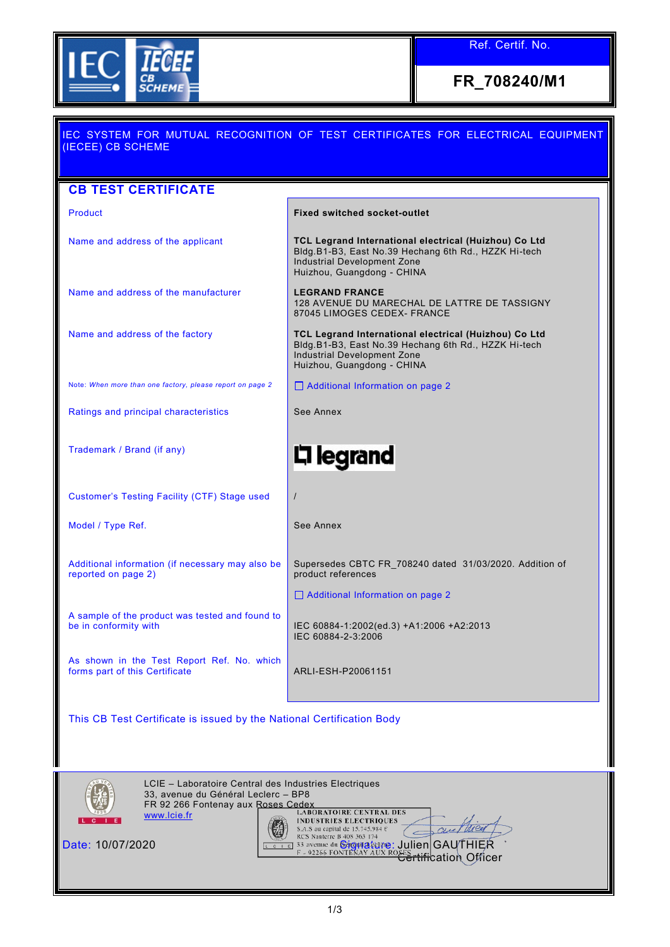

Ref. Certif. No.

**FR\_708240/M1**

| IEC SYSTEM FOR MUTUAL RECOGNITION OF TEST CERTIFICATES FOR ELECTRICAL EQUIPMENT<br>(IECEE) CB SCHEME |                                                                                                                                                                            |  |  |  |
|------------------------------------------------------------------------------------------------------|----------------------------------------------------------------------------------------------------------------------------------------------------------------------------|--|--|--|
| <b>CB TEST CERTIFICATE</b>                                                                           |                                                                                                                                                                            |  |  |  |
| <b>Product</b>                                                                                       | <b>Fixed switched socket-outlet</b>                                                                                                                                        |  |  |  |
| Name and address of the applicant                                                                    | TCL Legrand International electrical (Huizhou) Co Ltd<br>Bldg.B1-B3, East No.39 Hechang 6th Rd., HZZK Hi-tech<br>Industrial Development Zone<br>Huizhou, Guangdong - CHINA |  |  |  |
| Name and address of the manufacturer                                                                 | <b>LEGRAND FRANCE</b><br>128 AVENUE DU MARECHAL DE LATTRE DE TASSIGNY<br>87045 LIMOGES CEDEX- FRANCE                                                                       |  |  |  |
| Name and address of the factory                                                                      | TCL Legrand International electrical (Huizhou) Co Ltd<br>Bldg.B1-B3, East No.39 Hechang 6th Rd., HZZK Hi-tech<br>Industrial Development Zone<br>Huizhou, Guangdong - CHINA |  |  |  |
| Note: When more than one factory, please report on page 2                                            | Additional Information on page 2                                                                                                                                           |  |  |  |
| Ratings and principal characteristics                                                                | See Annex                                                                                                                                                                  |  |  |  |
| Trademark / Brand (if any)                                                                           | 디 legrand                                                                                                                                                                  |  |  |  |
| Customer's Testing Facility (CTF) Stage used                                                         | $\prime$                                                                                                                                                                   |  |  |  |
| Model / Type Ref.                                                                                    | See Annex                                                                                                                                                                  |  |  |  |
| Additional information (if necessary may also be<br>reported on page 2)                              | Supersedes CBTC FR_708240 dated 31/03/2020. Addition of<br>product references                                                                                              |  |  |  |
|                                                                                                      | Additional Information on page 2                                                                                                                                           |  |  |  |
| A sample of the product was tested and found to<br>be in conformity with                             | IEC 60884-1:2002(ed.3) +A1:2006 +A2:2013<br>IEC 60884-2-3:2006                                                                                                             |  |  |  |
| As shown in the Test Report Ref. No. which<br>forms part of this Certificate                         | ARLI-ESH-P20061151                                                                                                                                                         |  |  |  |
| This CB Test Certificate is issued by the National Certification Body                                |                                                                                                                                                                            |  |  |  |



LCIE – Laboratoire Central des Industries Electriques 33, avenue du Général Leclerc – BP8 FR 92 266 Fontenay aux Roses Cedex [www.lcie.fr](http://www.lcie.fr/) 传 Date: 10/07/2020 Signature: Julien GAUTHIER <del>Certific</del>ation Officer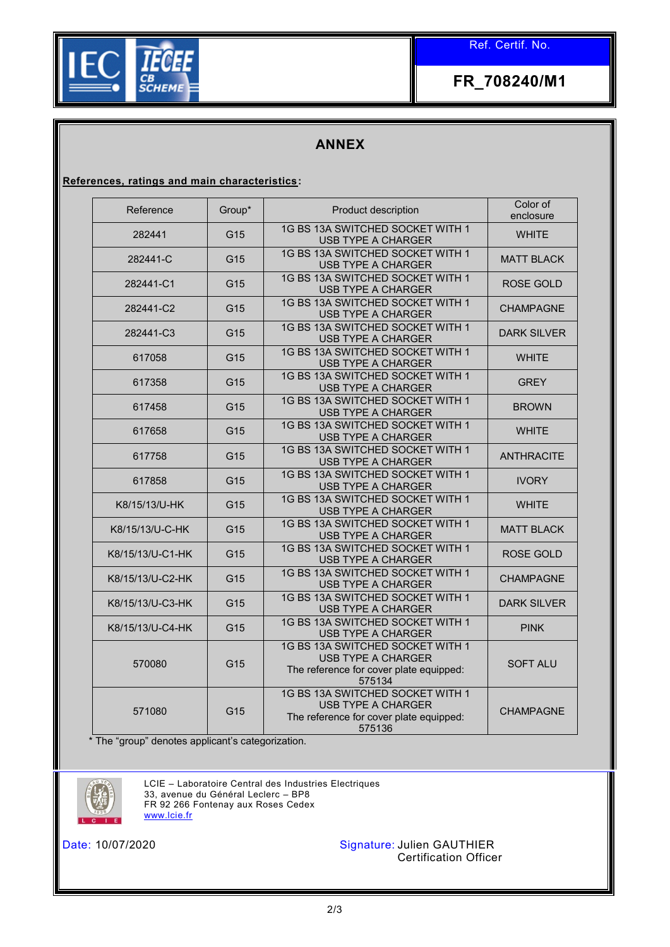Ref. Certif. No.



**FR\_708240/M1**

## **ANNEX**

**References, ratings and main characteristics:**

| Reference        | Group*          | Product description                                                                                                | Color of<br>enclosure |  |
|------------------|-----------------|--------------------------------------------------------------------------------------------------------------------|-----------------------|--|
| 282441           | G15             | 1G BS 13A SWITCHED SOCKET WITH 1<br><b>USB TYPE A CHARGER</b>                                                      | <b>WHITE</b>          |  |
| 282441-C         | G <sub>15</sub> | 1G BS 13A SWITCHED SOCKET WITH 1<br><b>USB TYPE A CHARGER</b>                                                      | <b>MATT BLACK</b>     |  |
| 282441-C1        | G15             | 1G BS 13A SWITCHED SOCKET WITH 1<br><b>USB TYPE A CHARGER</b>                                                      | ROSE GOLD             |  |
| 282441-C2        | G15             | 1G BS 13A SWITCHED SOCKET WITH 1<br><b>CHAMPAGNE</b><br><b>USB TYPE A CHARGER</b>                                  |                       |  |
| 282441-C3        | G15             | 1G BS 13A SWITCHED SOCKET WITH 1<br><b>USB TYPE A CHARGER</b>                                                      | <b>DARK SILVER</b>    |  |
| 617058           | G15             | 1G BS 13A SWITCHED SOCKET WITH 1<br>USB TYPE A CHARGER                                                             | <b>WHITE</b>          |  |
| 617358           | G15             | 1G BS 13A SWITCHED SOCKET WITH 1<br><b>USB TYPE A CHARGER</b>                                                      | <b>GREY</b>           |  |
| 617458           | G15             | 1G BS 13A SWITCHED SOCKET WITH 1<br>USB TYPE A CHARGER                                                             | <b>BROWN</b>          |  |
| 617658           | G15             | 1G BS 13A SWITCHED SOCKET WITH 1<br>USB TYPE A CHARGER                                                             | <b>WHITE</b>          |  |
| 617758           | G15             | 1G BS 13A SWITCHED SOCKET WITH 1<br>USB TYPE A CHARGER                                                             | <b>ANTHRACITE</b>     |  |
| 617858           | G15             | 1G BS 13A SWITCHED SOCKET WITH 1<br><b>USB TYPE A CHARGER</b>                                                      | <b>IVORY</b>          |  |
| K8/15/13/U-HK    | G15             | 1G BS 13A SWITCHED SOCKET WITH 1<br>USB TYPE A CHARGER                                                             | <b>WHITE</b>          |  |
| K8/15/13/U-C-HK  | G15             | 1G BS 13A SWITCHED SOCKET WITH 1<br><b>USB TYPE A CHARGER</b>                                                      | <b>MATT BLACK</b>     |  |
| K8/15/13/U-C1-HK | G15             | 1G BS 13A SWITCHED SOCKET WITH 1<br><b>USB TYPE A CHARGER</b>                                                      | ROSE GOLD             |  |
| K8/15/13/U-C2-HK | G15             | 1G BS 13A SWITCHED SOCKET WITH 1<br>USB TYPE A CHARGER                                                             | <b>CHAMPAGNE</b>      |  |
| K8/15/13/U-C3-HK | G15             | 1G BS 13A SWITCHED SOCKET WITH 1<br><b>USB TYPE A CHARGER</b>                                                      | <b>DARK SILVER</b>    |  |
| K8/15/13/U-C4-HK | G15             | 1G BS 13A SWITCHED SOCKET WITH 1<br><b>USB TYPE A CHARGER</b>                                                      | <b>PINK</b>           |  |
| 570080           | G <sub>15</sub> | 1G BS 13A SWITCHED SOCKET WITH 1<br><b>USB TYPE A CHARGER</b><br>The reference for cover plate equipped:<br>575134 | <b>SOFT ALU</b>       |  |
| 571080           | G15             | 1G BS 13A SWITCHED SOCKET WITH 1<br><b>USB TYPE A CHARGER</b><br>The reference for cover plate equipped:<br>575136 | <b>CHAMPAGNE</b>      |  |

\* The "group" denotes applicant's categorization.



LCIE – Laboratoire Central des Industries Electriques 33, avenue du Général Leclerc – BP8 FR 92 266 Fontenay aux Roses Cedex [www.lcie.fr](http://www.lcie.fr/)



Date: 10/07/2020 Signature: Julien GAUTHIER Certification Officer